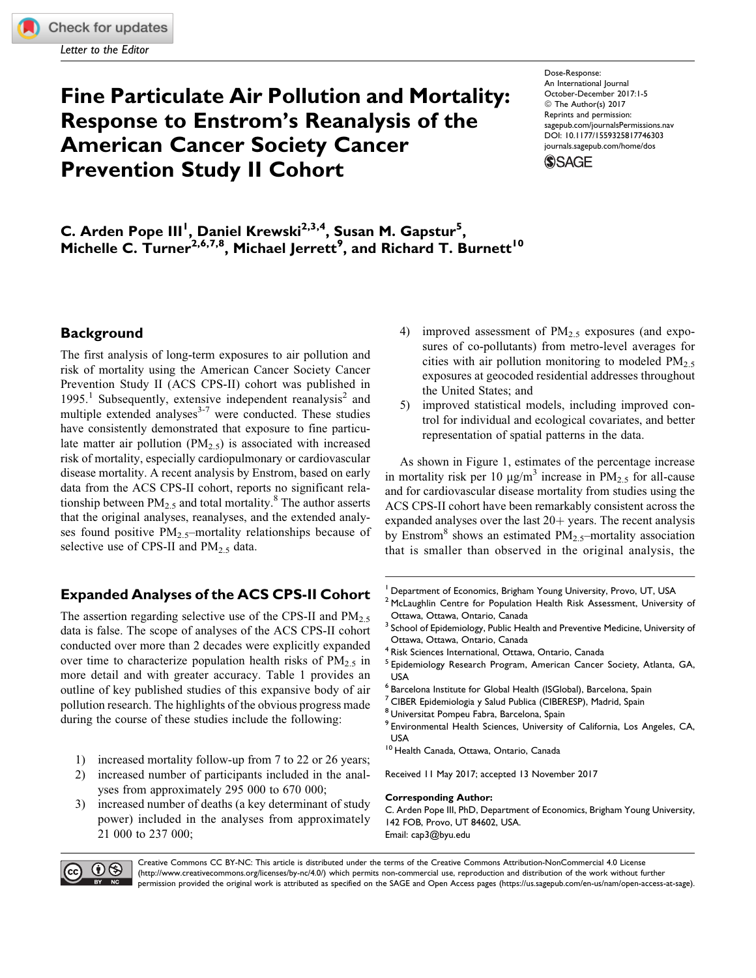Letter to the Editor

# Fine Particulate Air Pollution and Mortality: Response to Enstrom's Reanalysis of the American Cancer Society Cancer Prevention Study II Cohort

Dose-Response: An International Journal October-December 2017:1-5 © The Author(s) 2017 Reprints and permission: [sagepub.com/journalsPermissions.nav](https://us.sagepub.com/en-us/journals-permissions) [DOI: 10.1177/1559325817746303](https://doi.org/10.1177/1559325817746303) [journals.sagepub.com/home/dos](http://journals.sagepub.com/home/dos)



C. Arden Pope III<sup>I</sup>, Daniel Krewski<sup>2,3,4</sup>, Susan M. Gapstur<sup>5</sup>, Michelle C. Turner<sup>2,6,7,8</sup>, Michael Jerrett<sup>9</sup>, and Richard T. Burnett<sup>10</sup>

## **Background**

The first analysis of long-term exposures to air pollution and risk of mortality using the American Cancer Society Cancer Prevention Study II (ACS CPS-II) cohort was published in 1995.<sup>1</sup> Subsequently, extensive independent reanalysis<sup>2</sup> and multiple extended analyses $3-7$  were conducted. These studies have consistently demonstrated that exposure to fine particulate matter air pollution  $(PM_{2.5})$  is associated with increased risk of mortality, especially cardiopulmonary or cardiovascular disease mortality. A recent analysis by Enstrom, based on early data from the ACS CPS-II cohort, reports no significant relationship between  $PM_{2.5}$  and total mortality.<sup>8</sup> The author asserts that the original analyses, reanalyses, and the extended analyses found positive  $PM_{2.5}$ -mortality relationships because of selective use of CPS-II and  $PM_{2.5}$  data.

## Expanded Analyses of the ACS CPS-II Cohort

The assertion regarding selective use of the CPS-II and  $PM_{2.5}$ data is false. The scope of analyses of the ACS CPS-II cohort conducted over more than 2 decades were explicitly expanded over time to characterize population health risks of  $PM_{2.5}$  in more detail and with greater accuracy. Table 1 provides an outline of key published studies of this expansive body of air pollution research. The highlights of the obvious progress made during the course of these studies include the following:

- 1) increased mortality follow-up from 7 to 22 or 26 years;
- 2) increased number of participants included in the analyses from approximately 295 000 to 670 000;
- 3) increased number of deaths (a key determinant of study power) included in the analyses from approximately 21 000 to 237 000;
- 4) improved assessment of  $PM_{2.5}$  exposures (and exposures of co-pollutants) from metro-level averages for cities with air pollution monitoring to modeled  $PM_{2.5}$ exposures at geocoded residential addresses throughout the United States; and
- 5) improved statistical models, including improved control for individual and ecological covariates, and better representation of spatial patterns in the data.

As shown in Figure 1, estimates of the percentage increase in mortality risk per 10  $\mu$ g/m<sup>3</sup> increase in PM<sub>2.5</sub> for all-cause and for cardiovascular disease mortality from studies using the ACS CPS-II cohort have been remarkably consistent across the expanded analyses over the last  $20<sub>+</sub>$  years. The recent analysis by Enstrom<sup>8</sup> shows an estimated  $PM_{2.5}$ -mortality association that is smaller than observed in the original analysis, the

- Department of Economics, Brigham Young University, Provo, UT, USA
- <sup>2</sup> McLaughlin Centre for Population Health Risk Assessment, University of Ottawa, Ottawa, Ontario, Canada
- $3$  School of Epidemiology, Public Health and Preventive Medicine, University of Ottawa, Ottawa, Ontario, Canada
- Risk Sciences International, Ottawa, Ontario, Canada
- <sup>5</sup> Epidemiology Research Program, American Cancer Society, Atlanta, GA, USA
- <sup>6</sup> Barcelona Institute for Global Health (ISGlobal), Barcelona, Spain
- <sup>7</sup> CIBER Epidemiologia y Salud Publica (CIBERESP), Madrid, Spain
- <sup>8</sup> Universitat Pompeu Fabra, Barcelona, Spain
- <sup>9</sup> Environmental Health Sciences, University of California, Los Angeles, CA, USA
- <sup>10</sup> Health Canada, Ottawa, Ontario, Canada

Received 11 May 2017; accepted 13 November 2017

#### Corresponding Author:

C. Arden Pope III, PhD, Department of Economics, Brigham Young University, 142 FOB, Provo, UT 84602, USA. Email: [cap3@byu.edu](mailto:cap3@byu.edu)



Creative Commons CC BY-NC: This article is distributed under the terms of the Creative Commons Attribution-NonCommercial 4.0 License (http://www.creativecommons.org/licenses/by-nc/4.0/) which permits non-commercial use, reproduction and distribution of the work without further permission provided the original work is attributed as specified on the SAGE and Open Access pages (https://us.sagepub.com/en-us/nam/open-access-at-sage).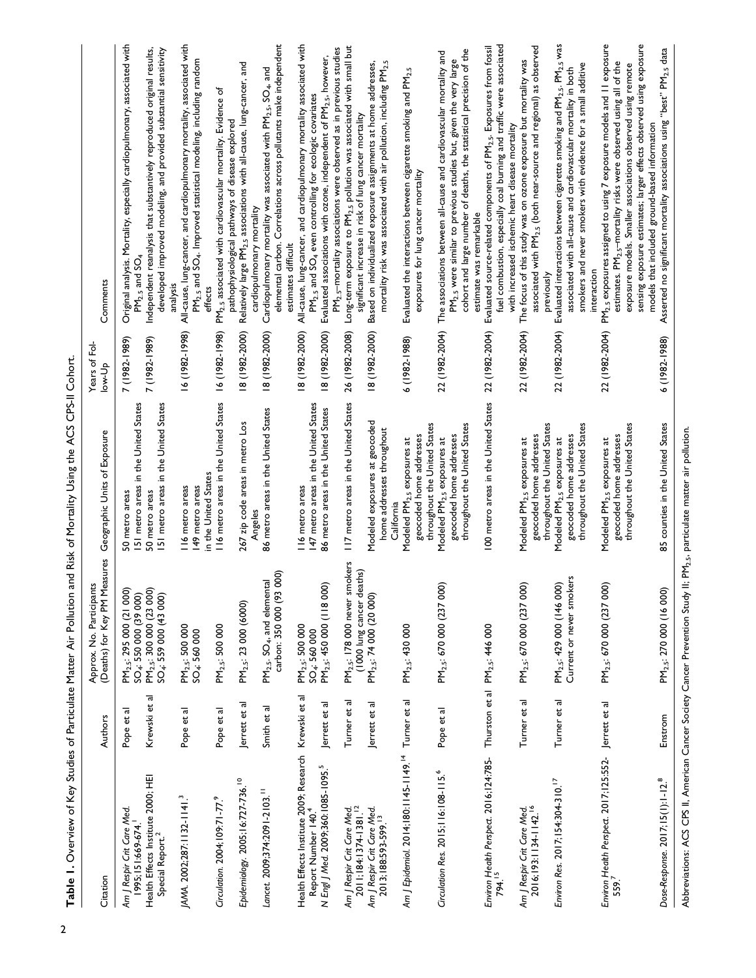| Citation                                                                                                                       | Authors                       | (Deaths) for Key PM Measures<br>Approx. No. Participants                                                                                                 | Geographic Units of Exposure                                                                                     | Years of Fol-<br>low-Up          | Comments                                                                                                                                                                                                                                                                                                            |
|--------------------------------------------------------------------------------------------------------------------------------|-------------------------------|----------------------------------------------------------------------------------------------------------------------------------------------------------|------------------------------------------------------------------------------------------------------------------|----------------------------------|---------------------------------------------------------------------------------------------------------------------------------------------------------------------------------------------------------------------------------------------------------------------------------------------------------------------|
| Health Effects Institute 2000; HEI<br>Am J Respir Crit Care Med.<br>1995; 151:669-674.<br>Special Report. <sup>2</sup>         | Krewski et al<br>ಸ<br>Pope et | PM <sub>2.5</sub> : 300 000 (23 000)<br>PM <sub>2.5</sub> : 295 000 (21 000)<br>SO <sub>4</sub> : 550 000 (39 000)<br>SO <sub>4</sub> : 559 000 (43 000) | 151 metro areas in the United States<br>151 metro areas in the United States<br>50 metro areas<br>50 metro areas | 7 (1982-1989)<br>7 (1982-1989)   | Original analysis. Mortality, especially cardiopulmonary, associated with<br>Independent reanalysis that substantively reproduced original results,<br>developed improved modeling, and provided substantial sensitivity<br>$PM_{2.5}$ and $SO_4$                                                                   |
| JAMA. 2002;287:1132-1141. <sup>3</sup>                                                                                         | ಸ<br>Pope et a                | PM <sub>2.5</sub> : 500 000<br>SO <sub>4</sub> : 560 000                                                                                                 | in the United States<br>149 metro areas<br>II6 metro areas                                                       | 16 (1982-1998)                   | All-cause, lung-cancer, and cardiopulmonary mortality, associated with<br>PM <sub>2.5</sub> and SO <sub>4</sub> . Improved statistical modeling, including random<br>analysis<br>effects                                                                                                                            |
| Circulation. 2004;109:71-77.9                                                                                                  | Pope et al                    | PM <sub>2.5</sub> : 500 000                                                                                                                              | 116 metro areas in the United States                                                                             | 16 (1982-1998)                   | PM <sub>2.5</sub> associated with cardiovascular mortality. Evidence of                                                                                                                                                                                                                                             |
| Epidemiology. 2005;16:727-736. <sup>10</sup>                                                                                   | Jerrett et al                 | PM <sub>2.5</sub> : 23 000 (6000)                                                                                                                        | 267 zip code areas in metro Los                                                                                  | 18 (1982-2000)                   | Relatively large PM <sub>2.5</sub> associations with all-cause, lung-cancer, and<br>pathophysiological pathways of disease explored<br>cardiopulmonary mortality                                                                                                                                                    |
| Lancet. 2009;374:2091-2103. <sup>11</sup>                                                                                      | Smith et al                   | carbon: 350 000 (93 000)<br>PM <sub>2.5</sub> , SO <sub>4</sub> , and elemental                                                                          | 86 metro areas in the United States<br>Angeles                                                                   | 18 (1982-2000)                   | elemental carbon. Correlations across pollutants make independent<br>Cardiopulmonary mortality was associated with PM <sub>2.5</sub> , SO <sub>4</sub> , and<br>estimates difficult                                                                                                                                 |
| Health Effects Institute 2009; Research Krewski et al<br>N Engl J Med. 2009;360:1085-1095. <sup>5</sup><br>Report Number 140.4 | Jerrett et al                 | PM <sub>2.5</sub> : 450 000 (118 000)<br>PM <sub>2.5</sub> : 500 000<br>SO <sub>4</sub> : 560 000                                                        | 147 metro areas in the United States<br>86 metro areas in the United States<br>Il6 metro areas                   | 18 (1982-2000)<br>18 (1982-2000) | All-cause, lung-cancer, and cardiopulmonary mortality associated with<br>Evaluated associations with ozone, independent of PM <sub>2.5</sub> , however,<br>PM <sub>2.5</sub> and SO <sub>4</sub> even controlling for ecologic covariates                                                                           |
| Am J Respir Crit Care Med.<br>2011;184:1374-1381. <sup>12</sup>                                                                | Turner et al                  | PM <sub>2.5</sub> : 178 000 never smokers                                                                                                                | II7 metro areas in the United States                                                                             | 26 (1982-2008)                   | Long-term exposure to PM <sub>2.5</sub> pollution was associated with small but<br>PM <sub>2.5</sub> -mortality associations were observed as in previous studies                                                                                                                                                   |
| Am J Respir Crit Care Med.<br>2013;188:593-599.13                                                                              | errett et al                  | (1000 lung cancer deaths)<br>PM <sub>2.5</sub> : 74 000 (20 000)                                                                                         | Modeled exposures at geocoded<br>home addresses throughout<br>California                                         | 18 (1982-2000)                   | mortality risk was associated with air pollution, including PM <sub>2.5</sub><br>Based on individualized exposure assignments at home addresses,<br>significant increase in risk of lung cancer mortality                                                                                                           |
| Am J Epidemiol. 2014;180:1145-1149. <sup>14</sup> Turner et al                                                                 |                               | PM <sub>2.5</sub> : 430 000                                                                                                                              | throughout the United States<br>geocoded home addresses<br>Modeled PM <sub>2.5</sub> exposures at                | 6 (1982-1988)                    | Evaluated the interactions between cigarette smoking and PM <sub>2.5</sub><br>exposures for lung cancer mortality                                                                                                                                                                                                   |
| Circulation Res. 2015;116:108-115. <sup>6</sup>                                                                                | Pope et al                    | PM <sub>2.5</sub> : 670 000 (237 000)                                                                                                                    | throughout the United States<br>geocoded home addresses<br>Modeled PM <sub>2.5</sub> exposures at                | 22 (1982-2004)                   | cohort and large number of deaths, the statistical precision of the<br>The associations between all-cause and cardiovascular mortality and<br>PM <sub>2.5</sub> were similar to previous studies but, given the very large<br>estimate was remarkable                                                               |
| Environ Health Perspect. 2016;124:785- Thurston et al PM <sub>2.5</sub> : 446 000<br>- 794. <sup>15</sup>                      |                               |                                                                                                                                                          | 100 metro areas in the United States                                                                             | 22 (1982-2004)                   | fuel combustion, especially coal burning and traffic were associated<br>Evaluated source-related components of PM <sub>2.5</sub> . Exposures from fossil<br>with increased ischemic heart disease mortality                                                                                                         |
| Am J Respir Crit Care Med.<br>2016;193:1134-1142. <sup>16</sup>                                                                | Turner et al                  | PM <sub>2.5</sub> : 670 000 (237 000)                                                                                                                    | throughout the United States<br>geocoded home addresses<br>Modeled PM <sub>2.5</sub> exposures at                | 22 (1982-2004)                   | associated with PM <sub>2.5</sub> (both near-source and regional) as observed<br>The focus of this study was on ozone exposure but mortality was                                                                                                                                                                    |
| Environ Res. 2017;154:304-310. <sup>17</sup>                                                                                   | Turner et al                  | Current or never smokers<br>PM <sub>2.5</sub> : 429 000 (146 000)                                                                                        | throughout the United States<br>geocoded home addresses<br>Modeled PM <sub>2.5</sub> exposures at                | 22 (1982-2004)                   | Evaluated interactions between cigarette smoking and PM <sub>2.5</sub> , PM <sub>2.5</sub> was<br>smokers and never smokers with evidence for a small additive<br>associated with all-cause and cardiovascular mortality in both<br>previously                                                                      |
| Environ Health Perspect. 2017;125:552- Jerrett et al<br>559.7                                                                  |                               | PM <sub>2.5</sub> : 670 000 (237 000)                                                                                                                    | throughout the United States<br>geocoded home addresses<br>Modeled PM <sub>2.5</sub> exposures at                | 22 (1982-2004)                   | PM <sub>2.5</sub> exposures assigned to using 7 exposure models and 11 exposure<br>sensing exposure estimates; larger effects observed using exposure<br>estimates. PM <sub>2.5</sub> -mortality risks were observed using all of the<br>exposure models. Smaller associations observed using remote<br>interaction |
| Dose-Response. 2017;15(1):1-12.8                                                                                               | Enstrom                       | PM <sub>2.5</sub> : 270 000 (16 000)                                                                                                                     | 85 counties in the United States                                                                                 | 6 (1982-1988)                    | Asserted no significant mortality associations using "best" PM <sub>2.5</sub> data<br>models that included ground-based information                                                                                                                                                                                 |
| Abbreviations: ACS CPS II, American Cancer Society Cancer Prevention Study II;                                                 |                               |                                                                                                                                                          | PM <sub>2.5</sub> , particulate matter air pollution.                                                            |                                  |                                                                                                                                                                                                                                                                                                                     |

Table 1. Overview of Key Studies of Particulate Matter Air Pollution and Risk of Mortality Using the ACS CPS-II Cohort. Table 1. Overview of Key Studies of Particulate Matter Air Pollution and Risk of Mortality Using the ACS CPS-II Cohort.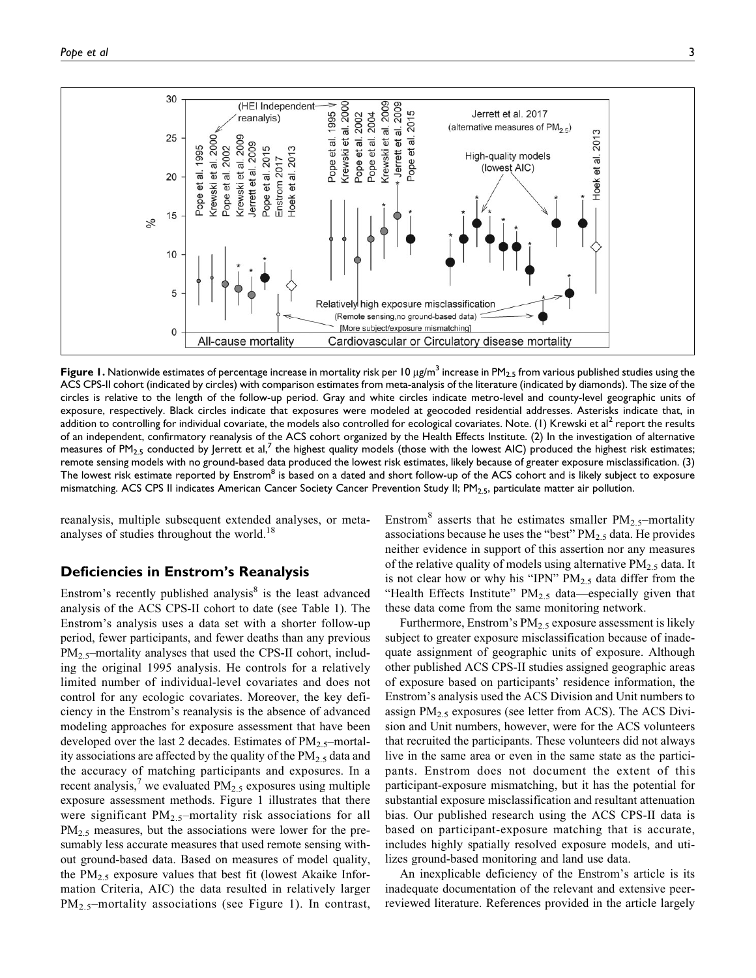

Figure 1. Nationwide estimates of percentage increase in mortality risk per 10  $\mu$ g/m<sup>3</sup> increase in PM<sub>2.5</sub> from various published studies using the ACS CPS-II cohort (indicated by circles) with comparison estimates from meta-analysis of the literature (indicated by diamonds). The size of the circles is relative to the length of the follow-up period. Gray and white circles indicate metro-level and county-level geographic units of exposure, respectively. Black circles indicate that exposures were modeled at geocoded residential addresses. Asterisks indicate that, in addition to controlling for individual covariate, the models also controlled for ecological covariates. Note. (1) Krewski et al<sup>2</sup> report the results of an independent, confirmatory reanalysis of the ACS cohort organized by the Health Effects Institute. (2) In the investigation of alternative measures of PM<sub>2.5</sub> conducted by Jerrett et al,<sup>7</sup> the highest quality models (those with the lowest AIC) produced the highest risk estimates; remote sensing models with no ground-based data produced the lowest risk estimates, likely because of greater exposure misclassification. (3) The lowest risk estimate reported by Enstrom<sup>8</sup> is based on a dated and short follow-up of the ACS cohort and is likely subject to exposure mismatching. ACS CPS II indicates American Cancer Society Cancer Prevention Study II; PM<sub>2.5</sub>, particulate matter air pollution.

reanalysis, multiple subsequent extended analyses, or metaanalyses of studies throughout the world.<sup>18</sup>

## Deficiencies in Enstrom's Reanalysis

Enstrom's recently published analysis<sup>8</sup> is the least advanced analysis of the ACS CPS-II cohort to date (see Table 1). The Enstrom's analysis uses a data set with a shorter follow-up period, fewer participants, and fewer deaths than any previous  $PM_{2.5}$ -mortality analyses that used the CPS-II cohort, including the original 1995 analysis. He controls for a relatively limited number of individual-level covariates and does not control for any ecologic covariates. Moreover, the key deficiency in the Enstrom's reanalysis is the absence of advanced modeling approaches for exposure assessment that have been developed over the last 2 decades. Estimates of  $PM_2$ <sub>5</sub>–mortality associations are affected by the quality of the  $PM_{2.5}$  data and the accuracy of matching participants and exposures. In a recent analysis,<sup> $\theta$ </sup> we evaluated PM<sub>2.5</sub> exposures using multiple exposure assessment methods. Figure 1 illustrates that there were significant  $PM_{2.5}$ -mortality risk associations for all  $PM<sub>2.5</sub>$  measures, but the associations were lower for the presumably less accurate measures that used remote sensing without ground-based data. Based on measures of model quality, the  $PM<sub>2.5</sub>$  exposure values that best fit (lowest Akaike Information Criteria, AIC) the data resulted in relatively larger  $PM_{2.5}$ -mortality associations (see Figure 1). In contrast,

Enstrom<sup>8</sup> asserts that he estimates smaller  $PM_{2.5}$ -mortality associations because he uses the "best"  $PM_{2.5}$  data. He provides neither evidence in support of this assertion nor any measures of the relative quality of models using alternative  $PM_{2.5}$  data. It is not clear how or why his "IPN"  $PM_{2.5}$  data differ from the "Health Effects Institute"  $PM_{2.5}$  data—especially given that these data come from the same monitoring network.

Furthermore, Enstrom's PM<sub>2.5</sub> exposure assessment is likely subject to greater exposure misclassification because of inadequate assignment of geographic units of exposure. Although other published ACS CPS-II studies assigned geographic areas of exposure based on participants' residence information, the Enstrom's analysis used the ACS Division and Unit numbers to assign  $PM<sub>2.5</sub>$  exposures (see letter from ACS). The ACS Division and Unit numbers, however, were for the ACS volunteers that recruited the participants. These volunteers did not always live in the same area or even in the same state as the participants. Enstrom does not document the extent of this participant-exposure mismatching, but it has the potential for substantial exposure misclassification and resultant attenuation bias. Our published research using the ACS CPS-II data is based on participant-exposure matching that is accurate, includes highly spatially resolved exposure models, and utilizes ground-based monitoring and land use data.

An inexplicable deficiency of the Enstrom's article is its inadequate documentation of the relevant and extensive peerreviewed literature. References provided in the article largely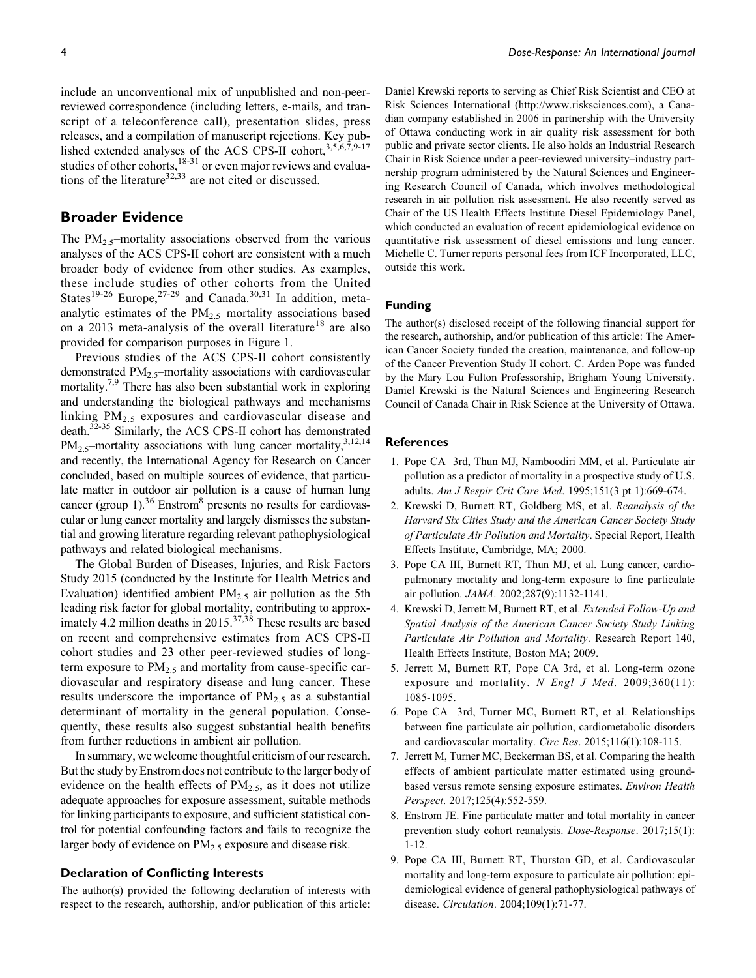include an unconventional mix of unpublished and non-peerreviewed correspondence (including letters, e-mails, and transcript of a teleconference call), presentation slides, press releases, and a compilation of manuscript rejections. Key published extended analyses of the ACS CPS-II cohort,  $3,5,6,7,9-17$ studies of other cohorts, $18-31$  or even major reviews and evaluations of the literature<sup>32,33</sup> are not cited or discussed.

### Broader Evidence

The  $PM_{2.5}$ -mortality associations observed from the various analyses of the ACS CPS-II cohort are consistent with a much broader body of evidence from other studies. As examples, these include studies of other cohorts from the United States<sup>19-26</sup> Europe,<sup>27-29</sup> and Canada.<sup>30,31</sup> In addition, metaanalytic estimates of the  $PM_{2.5}$ -mortality associations based on a 2013 meta-analysis of the overall literature<sup>18</sup> are also provided for comparison purposes in Figure 1.

Previous studies of the ACS CPS-II cohort consistently demonstrated  $PM_{2.5}$ -mortality associations with cardiovascular mortality.<sup>7,9</sup> There has also been substantial work in exploring and understanding the biological pathways and mechanisms linking  $PM<sub>2</sub>$ , exposures and cardiovascular disease and death.<sup>32-35</sup> Similarly, the ACS CPS-II cohort has demonstrated  $PM_{2.5}$ -mortality associations with lung cancer mortality,<sup>3,12,14</sup> and recently, the International Agency for Research on Cancer concluded, based on multiple sources of evidence, that particulate matter in outdoor air pollution is a cause of human lung cancer (group  $1$ ).<sup>36</sup> Enstrom<sup>8</sup> presents no results for cardiovascular or lung cancer mortality and largely dismisses the substantial and growing literature regarding relevant pathophysiological pathways and related biological mechanisms.

The Global Burden of Diseases, Injuries, and Risk Factors Study 2015 (conducted by the Institute for Health Metrics and Evaluation) identified ambient  $PM_{2.5}$  air pollution as the 5th leading risk factor for global mortality, contributing to approximately 4.2 million deaths in  $2015^{37,38}$  These results are based on recent and comprehensive estimates from ACS CPS-II cohort studies and 23 other peer-reviewed studies of longterm exposure to  $PM<sub>2.5</sub>$  and mortality from cause-specific cardiovascular and respiratory disease and lung cancer. These results underscore the importance of  $PM_{2.5}$  as a substantial determinant of mortality in the general population. Consequently, these results also suggest substantial health benefits from further reductions in ambient air pollution.

In summary, we welcome thoughtful criticism of our research. But the study by Enstrom does not contribute to the larger body of evidence on the health effects of  $PM_{2.5}$ , as it does not utilize adequate approaches for exposure assessment, suitable methods for linking participants to exposure, and sufficient statistical control for potential confounding factors and fails to recognize the larger body of evidence on  $PM<sub>2</sub>$ , exposure and disease risk.

#### Declaration of Conflicting Interests

The author(s) provided the following declaration of interests with respect to the research, authorship, and/or publication of this article: Daniel Krewski reports to serving as Chief Risk Scientist and CEO at Risk Sciences International [\(http://www.risksciences.com\)](http://www.risksciences.com), a Canadian company established in 2006 in partnership with the University of Ottawa conducting work in air quality risk assessment for both public and private sector clients. He also holds an Industrial Research Chair in Risk Science under a peer-reviewed university–industry partnership program administered by the Natural Sciences and Engineering Research Council of Canada, which involves methodological research in air pollution risk assessment. He also recently served as Chair of the US Health Effects Institute Diesel Epidemiology Panel, which conducted an evaluation of recent epidemiological evidence on quantitative risk assessment of diesel emissions and lung cancer. Michelle C. Turner reports personal fees from ICF Incorporated, LLC, outside this work.

#### Funding

The author(s) disclosed receipt of the following financial support for the research, authorship, and/or publication of this article: The American Cancer Society funded the creation, maintenance, and follow-up of the Cancer Prevention Study II cohort. C. Arden Pope was funded by the Mary Lou Fulton Professorship, Brigham Young University. Daniel Krewski is the Natural Sciences and Engineering Research Council of Canada Chair in Risk Science at the University of Ottawa.

#### References

- 1. Pope CA 3rd, Thun MJ, Namboodiri MM, et al. Particulate air pollution as a predictor of mortality in a prospective study of U.S. adults. Am J Respir Crit Care Med. 1995;151(3 pt 1):669-674.
- 2. Krewski D, Burnett RT, Goldberg MS, et al. Reanalysis of the Harvard Six Cities Study and the American Cancer Society Study of Particulate Air Pollution and Mortality. Special Report, Health Effects Institute, Cambridge, MA; 2000.
- 3. Pope CA III, Burnett RT, Thun MJ, et al. Lung cancer, cardiopulmonary mortality and long-term exposure to fine particulate air pollution. JAMA. 2002;287(9):1132-1141.
- 4. Krewski D, Jerrett M, Burnett RT, et al. Extended Follow-Up and Spatial Analysis of the American Cancer Society Study Linking Particulate Air Pollution and Mortality. Research Report 140, Health Effects Institute, Boston MA; 2009.
- 5. Jerrett M, Burnett RT, Pope CA 3rd, et al. Long-term ozone exposure and mortality. N Engl J Med.  $2009;360(11)$ : 1085-1095.
- 6. Pope CA 3rd, Turner MC, Burnett RT, et al. Relationships between fine particulate air pollution, cardiometabolic disorders and cardiovascular mortality. Circ Res. 2015;116(1):108-115.
- 7. Jerrett M, Turner MC, Beckerman BS, et al. Comparing the health effects of ambient particulate matter estimated using groundbased versus remote sensing exposure estimates. Environ Health Perspect. 2017;125(4):552-559.
- 8. Enstrom JE. Fine particulate matter and total mortality in cancer prevention study cohort reanalysis. Dose-Response. 2017;15(1): 1-12.
- 9. Pope CA III, Burnett RT, Thurston GD, et al. Cardiovascular mortality and long-term exposure to particulate air pollution: epidemiological evidence of general pathophysiological pathways of disease. Circulation. 2004;109(1):71-77.